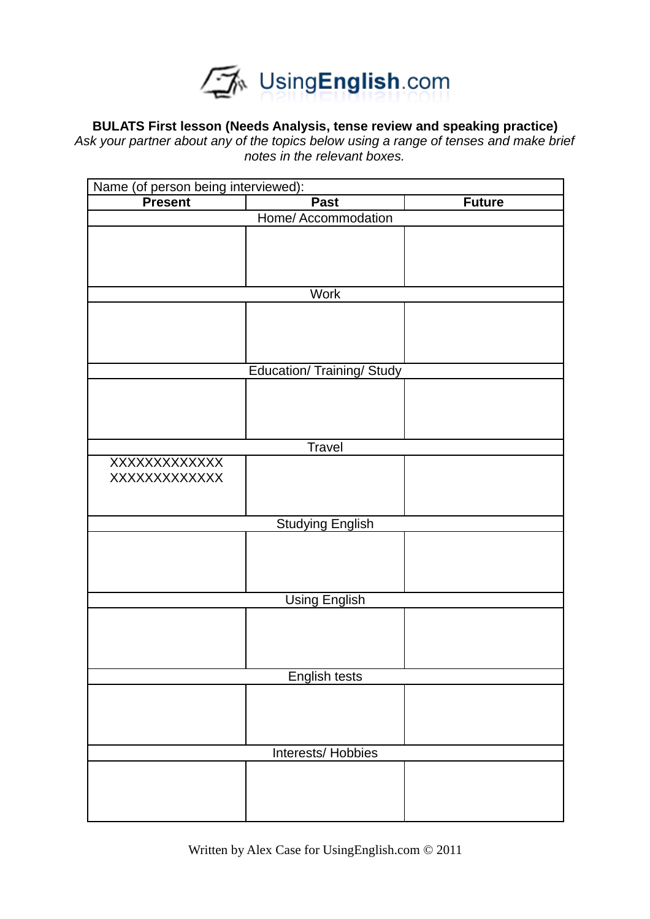

## **BULATS First lesson (Needs Analysis, tense review and speaking practice)**

*Ask your partner about any of the topics below using a range of tenses and make brief notes in the relevant boxes.*

| Name (of person being interviewed):<br><b>Present</b> | <b>Past</b>                       |               |
|-------------------------------------------------------|-----------------------------------|---------------|
|                                                       |                                   | <b>Future</b> |
|                                                       | Home/ Accommodation               |               |
|                                                       |                                   |               |
|                                                       |                                   |               |
|                                                       |                                   |               |
|                                                       |                                   |               |
|                                                       | <b>Work</b>                       |               |
|                                                       |                                   |               |
|                                                       |                                   |               |
|                                                       |                                   |               |
|                                                       | <b>Education/ Training/ Study</b> |               |
|                                                       |                                   |               |
|                                                       |                                   |               |
|                                                       |                                   |               |
|                                                       |                                   |               |
|                                                       | Travel                            |               |
| XXXXXXXXXXXX                                          |                                   |               |
| XXXXXXXXXXXX                                          |                                   |               |
|                                                       |                                   |               |
|                                                       |                                   |               |
|                                                       | <b>Studying English</b>           |               |
|                                                       |                                   |               |
|                                                       |                                   |               |
|                                                       |                                   |               |
|                                                       |                                   |               |
|                                                       | <b>Using English</b>              |               |
|                                                       |                                   |               |
|                                                       |                                   |               |
|                                                       |                                   |               |
|                                                       |                                   |               |
|                                                       | <b>English tests</b>              |               |
|                                                       |                                   |               |
|                                                       |                                   |               |
|                                                       |                                   |               |
|                                                       |                                   |               |
|                                                       | Interests/ Hobbies                |               |
|                                                       |                                   |               |
|                                                       |                                   |               |
|                                                       |                                   |               |
|                                                       |                                   |               |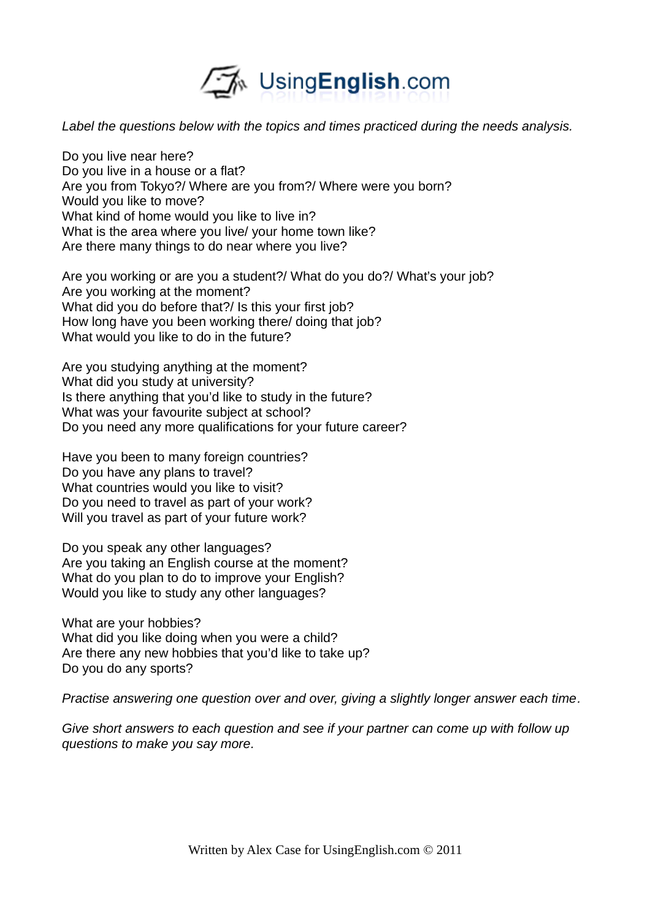

*Label the questions below with the topics and times practiced during the needs analysis.*

Do you live near here? Do you live in a house or a flat? Are you from Tokyo?/ Where are you from?/ Where were you born? Would you like to move? What kind of home would you like to live in? What is the area where you live/ your home town like? Are there many things to do near where you live?

Are you working or are you a student?/ What do you do?/ What's your job? Are you working at the moment? What did you do before that?/ Is this your first job? How long have you been working there/ doing that job? What would you like to do in the future?

Are you studying anything at the moment? What did you study at university? Is there anything that you'd like to study in the future? What was your favourite subject at school? Do you need any more qualifications for your future career?

Have you been to many foreign countries? Do you have any plans to travel? What countries would you like to visit? Do you need to travel as part of your work? Will you travel as part of your future work?

Do you speak any other languages? Are you taking an English course at the moment? What do you plan to do to improve your English? Would you like to study any other languages?

What are your hobbies? What did you like doing when you were a child? Are there any new hobbies that you'd like to take up? Do you do any sports?

*Practise answering one question over and over, giving a slightly longer answer each time.*

*Give short answers to each question and see if your partner can come up with follow up questions to make you say more.*